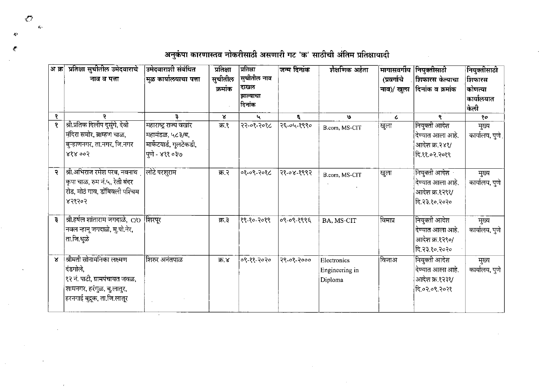अ क्र प्रतिक्षा सुचीतील उमेदवाराचे उमेदवाराशी संबंधित प्रतिक्षा प्रितिक्षा जिन्म दिनांक शैक्षणिक अर्हता मागासवर्गीय |नियक्तीसाठी नियुक्तीसाठी ∣सुचीतील नाव ∣मळ कार्यालयाचा पत्ता सुचीतील नाव व पत्ता (प्रवर्गाचे **|शिफारस केल्याचा** शिफारस ∣दाखल क्रमांक नाव)/ खला दिनांक व क्रमांक ॑कोणत्या झाल्याचा  $\vert$ कार्यालयात दिनांक किली  $\mathbf{x}$  $\overline{\ }$ १ P.  $\overline{3}$ u. ε,  $\mathbf{v}$  $\overline{c}$ ୧ |श्री.प्रतिक दिलीप दस्ंगे, देवी  $\mathbf{8}$ |महाराष्ट्र राज्य वखार क्र १ रि२-०१-२०१८ २६-०५-१९९० |नियुक्ती आदेश |खुला मुख्य B.com, MS-CIT |मंदिरा समोर, ब्राम्हण चाळ, |महामंडळ. ५८३/ब. दिण्यात आला आहे. कार्यालय, पूणे बिन्हाणनगर, ता.नगर, जि.नगर |मार्केटयार्ड, गलटेकडी, आदेश क्र.२४१/ 888003 |पुणे - ४११ ०३७ दि.११.०२.२०१९ श्री.अभिराज रमेश परब, नवनाथ लोटे परशराम क्र.२ $\overline{ }$ ०१-०९-२०१८ २१-०४-१९९२ नियुक्ती आदेश  $\ddot{\mathbf{z}}$ |खुला मुख्य B.com, MS-CIT किपा चाळ, रुम नं.५, रेती बंदर कार्यालय, पणे देण्यात आला आहे. रोड, मोठं गाव, डोंबिवली पश्चिम आदेश क्र.१२९१/ 838303 दि.२३.१०.२०२० श्री.हर्षल शांताराम जगदाळे, C/O शिरपूर नियुक्ती आदेश विमाप्र  $\ddot{3}$ क्र.३ |१९-१०-२०१९ |०९-०९-१९९६ BA, MS-CIT मुख्य |नवल न्हानू जगदाळे, मु.पो.नेर, कार्यालय, पणे |देण्यात आला आहे. ता.जि.धुळे आदेश क्र १२९०/ हि.२३.१०.२०२० श्रीमती सोनामनिका लक्ष्मण शिरुर अनंतपाळ नियुक्ती आदेश  $\mathbf{x}$ |०९-११-२०२० २९-०१-२००० ক্ল ४ विजाअ Electronics मुख्य दंडगोले. कार्यालय पणे देण्यात आला आहे. Engineering in १२ नं. पाटी, ग्रामपंचायत जवळ. आदेश क्र.१२३१/ Diploma |शामनगर, हरंगुळ, बु.लातुर, दि.०२.०९.२०२१ |हरनगाई बुद्रुक, ता.जि.लातूर

अनुकंपा कारणास्तव नोकरीसाठी असणारी गट 'क' साठीची अंतिम प्रतिक्षायादी

 $\sqrt{ }$  $\mathcal{L}_\mathcal{E}$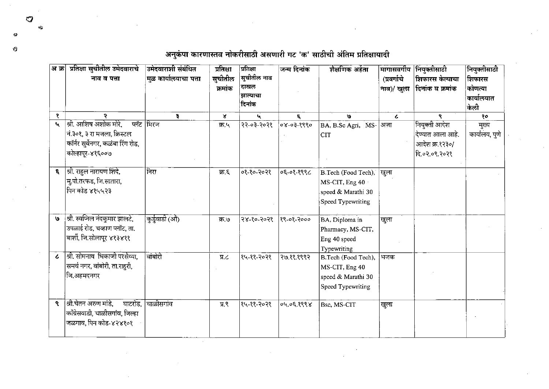अ क्र| प्रतिक्षा सुचीतील उमेदवाराचे उमेदवाराशी संबंधित नियुक्तीसाठी प्रतिक्षा प्रितिक्षा जन्म दिनांक शैक्षणिक अर्हता मागासवर्गीय नियक्तीसाठी ∣सुचीतील नाव सुचीतील मूळ कार्यालयाचा पत्ता (प्रवर्गाचे नाव व पत्ता **शिफारस केल्याचा** शिफारस ∣दाखल कोणत्या क्रमांक नाव)/ खुला |दिनांक व क्रमांक झाल्याचा कार्यालयात ∣दिनांक केली १ ą  $\mathbf{x}$  $\mathbf{u}$  $\mathbf{v}$ १०  $\epsilon$  $\mathcal{L}$ ۹ श्री. आशिष अशोक मोरे. प्लॅट मिरज नियुक्ती आदेश  $\mathbf{t}_\mathbf{t}$ क्र.५ २२-०३-२०२१ 08-03-8880 BA, B.Sc Agri, MS- अज़ा मुख्य कार्यालय पणे न ३०१, ३ रा मजला, क्रिस्टल देण्यात आला आहे. **CIT** कॉर्नर सर्वेनगर, कळंबा रिंग रोड, आदेश क्र.१२३०/ कोल्हापूर-४१६००७ दि.०२.०९.२०२१ **६** | श्री. राहल नारायण शिंदे, निरा ०१-१०-२०२१  $0599 - 30$ B.Tech (Food Tech), खुला क्र.६ म् पो.तरफड, जि.सातारा, MS-CIT, Eng 40 पिन कोड ४१५५२३ speed & Marathi 30 Speed Typewriting श्री. स्वप्निल नंदकुमार झालटे, कुर्डुवाडी (औ)  $\mathbf{g}$ |२४-१०-२०२१ |  $89 - 08 - 2000$ BA, Diploma in क ७ खुला |<br>उपळाई रोड, चव्हाण प्लॉट, ता. Pharmacy, MS-CIT, बार्शी, जि.सोलापूर ४१३४११ Eng 40 speed Typewriting श्री. सोमनाथ भिकाजी परसैय्या. वांबोरी १५-११-२०२१  $\epsilon$  $\Pi$ . २७.११.१९९२ B.Tech (Food Tech), भजक समर्थ नगर, वांबोरी, ता.राहरी, MS-CIT, Eng 40 |जि.अहमदनगर speed & Marathi 30 **Speed Typewriting** ९ | श्री.चेतन अरुण मांडे. चाळीसगांव घाटरोड. |१५-११-२०२१ प्र.९  $8995.30, 90$ Bsc. MS-CIT खुला काँग्रेसवाडी, चाळीसगांव, जिल्हा जळगाव, पिन कोड-४२४१०१

अनुकंपा कारणास्तव नोकरीसाठी असणारी गट 'क' साठीची अंतिम प्रतिक्षायादी

 $\sigma$ 

 $\mathbf{u}$ 

Ŷ.